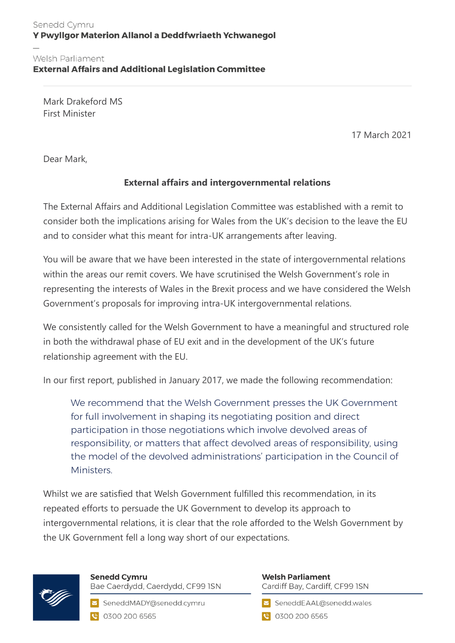## Senedd Cymru Y Pwyllgor Materion Allanol a Deddfwriaeth Ychwanegol

## Welsh Parliament **External Affairs and Additional Legislation Committee**

Mark Drakeford MS First Minister

17 March 2021

Dear Mark,

## **External affairs and intergovernmental relations**

The External Affairs and Additional Legislation Committee was established with a remit to consider both the implications arising for Wales from the UK's decision to the leave the EU and to consider what this meant for intra-UK arrangements after leaving.

You will be aware that we have been interested in the state of intergovernmental relations within the areas our remit covers. We have scrutinised the Welsh Government's role in representing the interests of Wales in the Brexit process and we have considered the Welsh Government's proposals for improving intra-UK intergovernmental relations.

We consistently called for the Welsh Government to have a meaningful and structured role in both the withdrawal phase of EU exit and in the development of the UK's future relationship agreement with the EU.

In our first report, published in January 2017, we made the following recommendation:

We recommend that the Welsh Government presses the UK Government for full involvement in shaping its negotiating position and direct participation in those negotiations which involve devolved areas of responsibility, or matters that affect devolved areas of responsibility, using the model of the devolved administrations' participation in the Council of Ministers.

Whilst we are satisfied that Welsh Government fulfilled this recommendation, in its repeated efforts to persuade the UK Government to develop its approach to intergovernmental relations, it is clear that the role afforded to the Welsh Government by the UK Government fell a long way short of our expectations.



**Senedd Cymru** Bae Caerdydd, Caerdydd, CF99 ISN

SeneddMADY@senedd.cymru C 0300 200 6565

## **Welsh Parliament** Cardiff Bay, Cardiff, CF99 ISN

SeneddEAAL@senedd.wales

**@** 0300 200 6565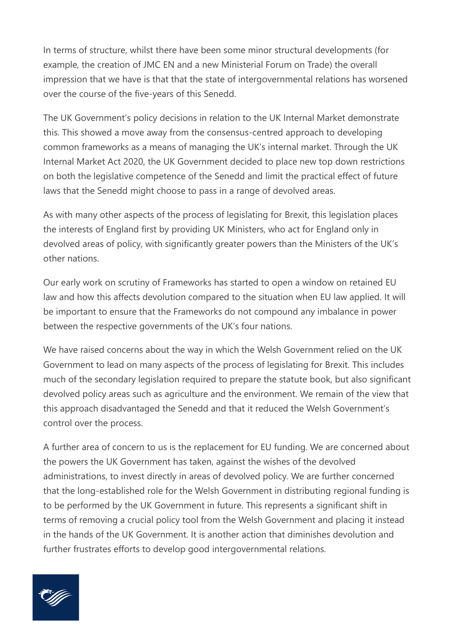In terms of structure, whilst there have been some minor structural developments (for example, the creation of JMC EN and a new Ministerial Forum on Trade) the overall impression that we have is that that the state of intergovernmental relations has worsened over the course of the five-years of this Senedd.

The UK Government's policy decisions in relation to the UK Internal Market demonstrate this. This showed a move away from the consensus-centred approach to developing common frameworks as a means of managing the UK's internal market. Through the UK Internal Market Act 2020, the UK Government decided to place new top down restrictions on both the legislative competence of the Senedd and limit the practical effect of future laws that the Senedd might choose to pass in a range of devolved areas.

As with many other aspects of the process of legislating for Brexit, this legislation places the interests of England first by providing UK Ministers, who act for England only in devolved areas of policy, with significantly greater powers than the Ministers of the UK's other nations.

Our early work on scrutiny of Frameworks has started to open a window on retained EU law and how this affects devolution compared to the situation when EU law applied. It will be important to ensure that the Frameworks do not compound any imbalance in power between the respective governments of the UK's four nations.

We have raised concerns about the way in which the Welsh Government relied on the UK Government to lead on many aspects of the process of legislating for Brexit. This includes much of the secondary legislation required to prepare the statute book, but also significant devolved policy areas such as agriculture and the environment. We remain of the view that this approach disadvantaged the Senedd and that it reduced the Welsh Government's control over the process.

A further area of concern to us is the replacement for EU funding. We are concerned about the powers the UK Government has taken, against the wishes of the devolved administrations, to invest directly in areas of devolved policy. We are further concerned that the long-established role for the Welsh Government in distributing regional funding is to be performed by the UK Government in future. This represents a significant shift in terms of removing a crucial policy tool from the Welsh Government and placing it instead in the hands of the UK Government. It is another action that diminishes devolution and further frustrates efforts to develop good intergovernmental relations.